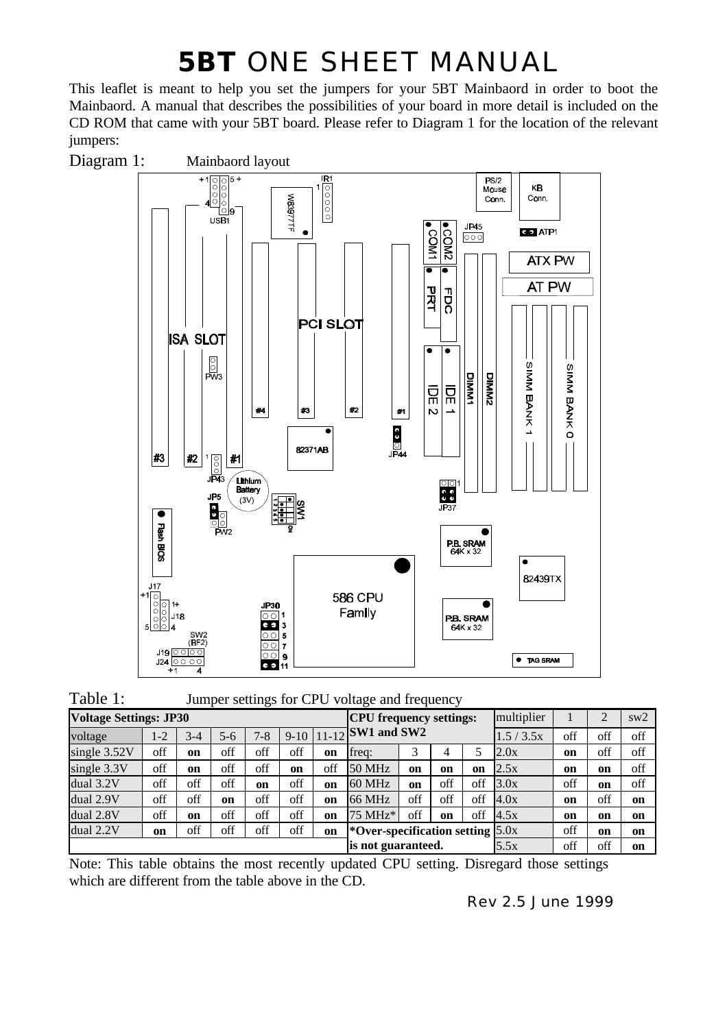## **5BT** ONE SHEET MANUAL

This leaflet is meant to help you set the jumpers for your 5BT Mainbaord in order to boot the Mainbaord. A manual that describes the possibilities of your board in more detail is included on the CD ROM that came with your 5BT board. Please refer to Diagram 1 for the location of the relevant jumpers:



| Table 1: | Jumper settings for CPU voltage and frequency |  |
|----------|-----------------------------------------------|--|
|----------|-----------------------------------------------|--|

| ັ<br><b>Voltage Settings: JP30</b> |                    |               |           |               |      |     | <b>CPU</b> frequency settings:     |     |     |     | multiplier |               | າ             | sw2 |
|------------------------------------|--------------------|---------------|-----------|---------------|------|-----|------------------------------------|-----|-----|-----|------------|---------------|---------------|-----|
| voltage                            | 1-2                | $3-4$         | $5 - 6$   | $7 - 8$       |      |     | $9-10$   11-12 SW1 and SW2         |     |     |     | 1.5 / 3.5x | off           | off           | off |
| single $3.52V$                     | off                | <sub>on</sub> | off       | off           | off  | on  | freq:                              | 3   | 4   | 5   | 2.0x       | on            | off           | off |
| single 3.3V                        | off                | on            | off       | off           | on   | off | 50 MHz                             | on  | on  | on  | 2.5x       | <sub>on</sub> | <sub>on</sub> | off |
| dual 3.2V                          | off                | off           | off       | <sub>on</sub> | off  | on  | 60 MHz                             | on  | off | off | 3.0x       | off           | <b>on</b>     | off |
| dual 2.9V                          | off                | off           | <b>on</b> | off           | off  | on  | 66 MHz                             | off | off | off | 4.0x       | <sub>on</sub> | off           | on  |
| dual 2.8V                          | off                | on            | off       | off           | off  | on  | 75 MHz*                            | off | on  | off | 4.5x       | <sub>on</sub> | on            | on  |
| dual 2.2V                          | on                 | off           | off       | off           | off  | on  | *Over-specification setting $5.0x$ |     |     |     |            | off           | <b>on</b>     | on  |
|                                    | is not guaranteed. |               |           |               | 5.5x | off | off                                | on  |     |     |            |               |               |     |

Note: This table obtains the most recently updated CPU setting. Disregard those settings which are different from the table above in the CD.

Rev 2.5 June 1999